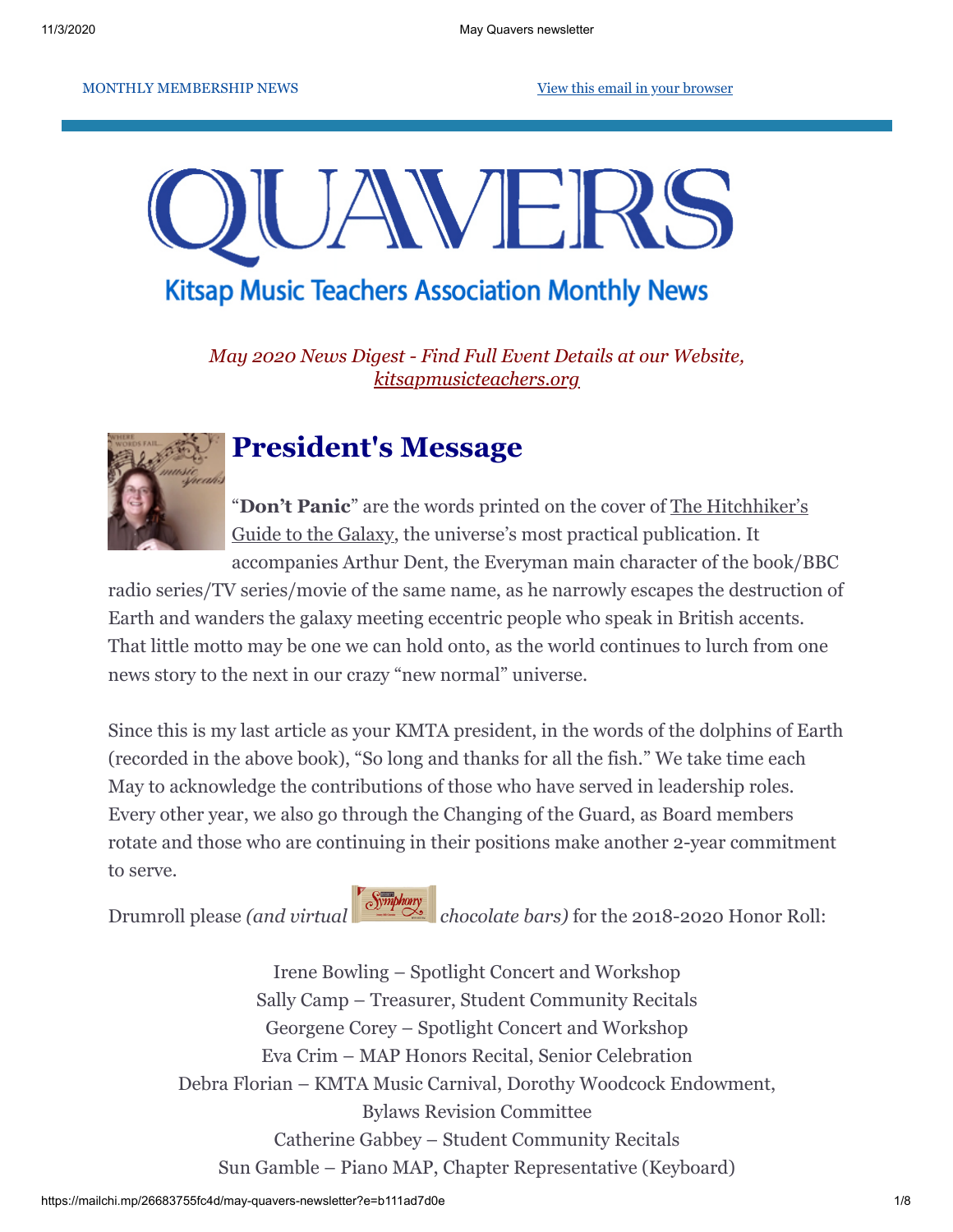

*May 2020 News Digest - Find Full Event Details at our Website,*

*[kitsapmusicteachers.org](http://www.kitsapmusicteachers.org/)*



### **President's Message**

"**Don't Panic**" are the words printed on the cover of The Hitchhiker's Guide to the Galaxy, the universe's most practical publication. It accompanies Arthur Dent, the Everyman main character of the book/BBC

radio series/TV series/movie of the same name, as he narrowly escapes the destruction of Earth and wanders the galaxy meeting eccentric people who speak in British accents. That little motto may be one we can hold onto, as the world continues to lurch from one news story to the next in our crazy "new normal" universe.

Since this is my last article as your KMTA president, in the words of the dolphins of Earth (recorded in the above book), "So long and thanks for all the fish." We take time each May to acknowledge the contributions of those who have served in leadership roles. Every other year, we also go through the Changing of the Guard, as Board members rotate and those who are continuing in their positions make another 2-year commitment to serve.



Drumroll please *(and virtual* chocolate bars) for the 2018-2020 Honor Roll:

Irene Bowling – Spotlight Concert and Workshop Sally Camp – Treasurer, Student Community Recitals Georgene Corey – Spotlight Concert and Workshop Eva Crim – MAP Honors Recital, Senior Celebration Debra Florian – KMTA Music Carnival, Dorothy Woodcock Endowment, Bylaws Revision Committee Catherine Gabbey – Student Community Recitals Sun Gamble – Piano MAP, Chapter Representative (Keyboard)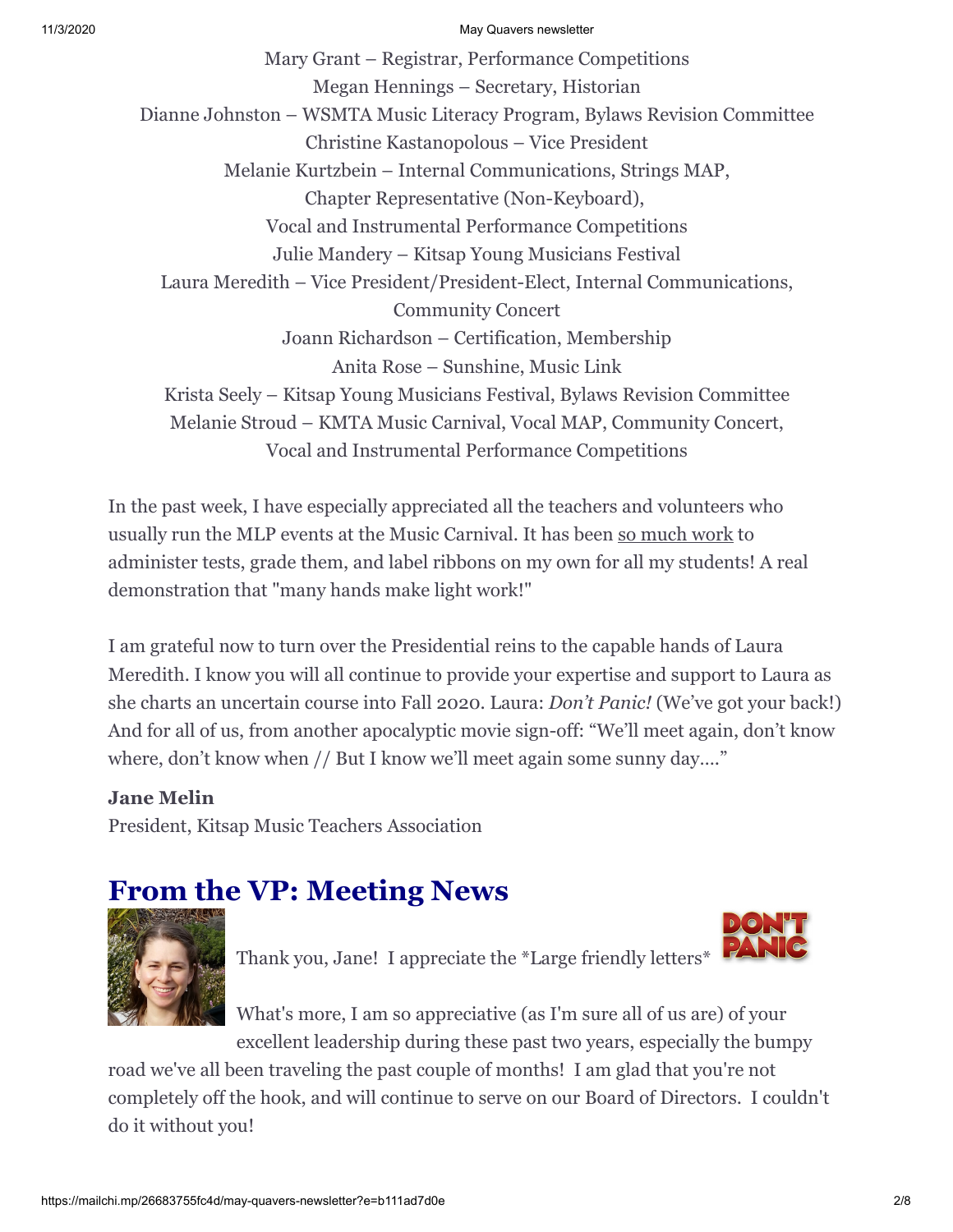#### 11/3/2020 May Quavers newsletter

Mary Grant – Registrar, Performance Competitions Megan Hennings – Secretary, Historian Dianne Johnston – WSMTA Music Literacy Program, Bylaws Revision Committee Christine Kastanopolous – Vice President Melanie Kurtzbein – Internal Communications, Strings MAP, Chapter Representative (Non-Keyboard), Vocal and Instrumental Performance Competitions Julie Mandery – Kitsap Young Musicians Festival Laura Meredith – Vice President/President-Elect, Internal Communications, Community Concert Joann Richardson – Certification, Membership Anita Rose – Sunshine, Music Link Krista Seely – Kitsap Young Musicians Festival, Bylaws Revision Committee Melanie Stroud – KMTA Music Carnival, Vocal MAP, Community Concert, Vocal and Instrumental Performance Competitions

In the past week, I have especially appreciated all the teachers and volunteers who usually run the MLP events at the Music Carnival. It has been so much work to administer tests, grade them, and label ribbons on my own for all my students! A real demonstration that "many hands make light work!"

I am grateful now to turn over the Presidential reins to the capable hands of Laura Meredith. I know you will all continue to provide your expertise and support to Laura as she charts an uncertain course into Fall 2020. Laura: *Don't Panic!* (We've got your back!) And for all of us, from another apocalyptic movie sign-off: "We'll meet again, don't know where, don't know when // But I know we'll meet again some sunny day...."

#### **Jane Melin**

President, Kitsap Music Teachers Association

## **From the VP: Meeting News**



Thank you, Jane! I appreciate the \*Large friendly letters\*



What's more, I am so appreciative (as I'm sure all of us are) of your excellent leadership during these past two years, especially the bumpy

road we've all been traveling the past couple of months! I am glad that you're not completely off the hook, and will continue to serve on our Board of Directors. I couldn't do it without you!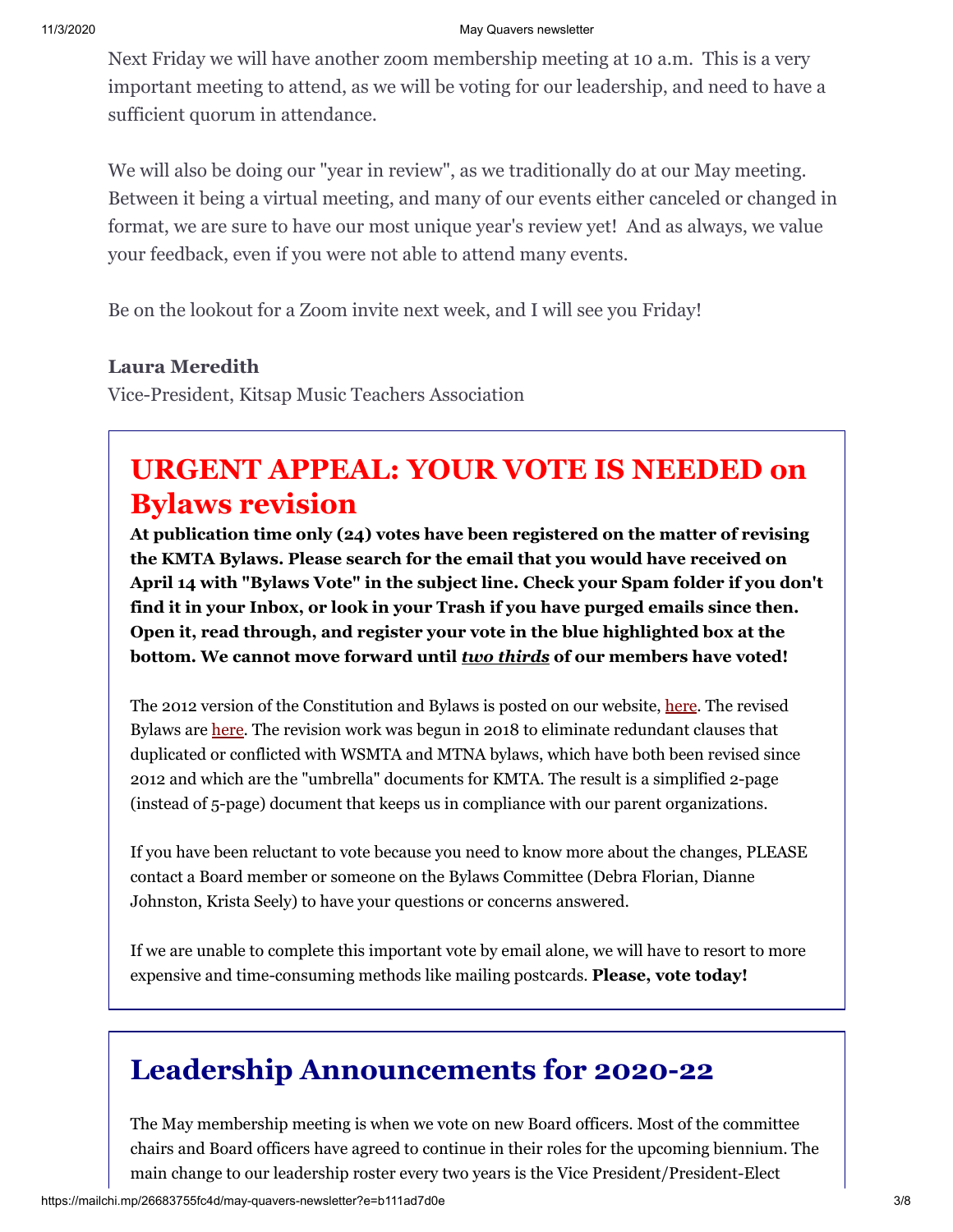#### 11/3/2020 May Quavers newsletter

Next Friday we will have another zoom membership meeting at 10 a.m. This is a very important meeting to attend, as we will be voting for our leadership, and need to have a sufficient quorum in attendance.

We will also be doing our "year in review", as we traditionally do at our May meeting. Between it being a virtual meeting, and many of our events either canceled or changed in format, we are sure to have our most unique year's review yet! And as always, we value your feedback, even if you were not able to attend many events.

Be on the lookout for a Zoom invite next week, and I will see you Friday!

#### **Laura Meredith**

Vice-President, Kitsap Music Teachers Association

## **URGENT APPEAL: YOUR VOTE IS NEEDED on Bylaws revision**

**At publication time only (24) votes have been registered on the matter of revising the KMTA Bylaws. Please search for the email that you would have received on April 14 with "Bylaws Vote" in the subject line. Check your Spam folder if you don't find it in your Inbox, or look in your Trash if you have purged emails since then. Open it, read through, and register your vote in the blue highlighted box at the bottom. We cannot move forward until** *two thirds* **of our members have voted!**

The 2012 version of the Constitution and Bylaws is posted on our website, [here](http://www.kitsapmusicteachers.org/wp-content/uploads/2018/10/KMTA-Constitution-and-By-Laws-9-12.pdf). The revised Bylaws are [here](https://kitsapmusicteachers.us14.list-manage.com/track/click?u=a9d885fc36d841987e3cbcd66&id=7768284984&e=121860dfb0). The revision work was begun in 2018 to eliminate redundant clauses that duplicated or conflicted with WSMTA and MTNA bylaws, which have both been revised since 2012 and which are the "umbrella" documents for KMTA. The result is a simplified 2-page (instead of 5-page) document that keeps us in compliance with our parent organizations.

If you have been reluctant to vote because you need to know more about the changes, PLEASE contact a Board member or someone on the Bylaws Committee (Debra Florian, Dianne Johnston, Krista Seely) to have your questions or concerns answered.

If we are unable to complete this important vote by email alone, we will have to resort to more expensive and time-consuming methods like mailing postcards. **Please, vote today!**

## **Leadership Announcements for 2020-22**

The May membership meeting is when we vote on new Board officers. Most of the committee chairs and Board officers have agreed to continue in their roles for the upcoming biennium. The main change to our leadership roster every two years is the Vice President/President-Elect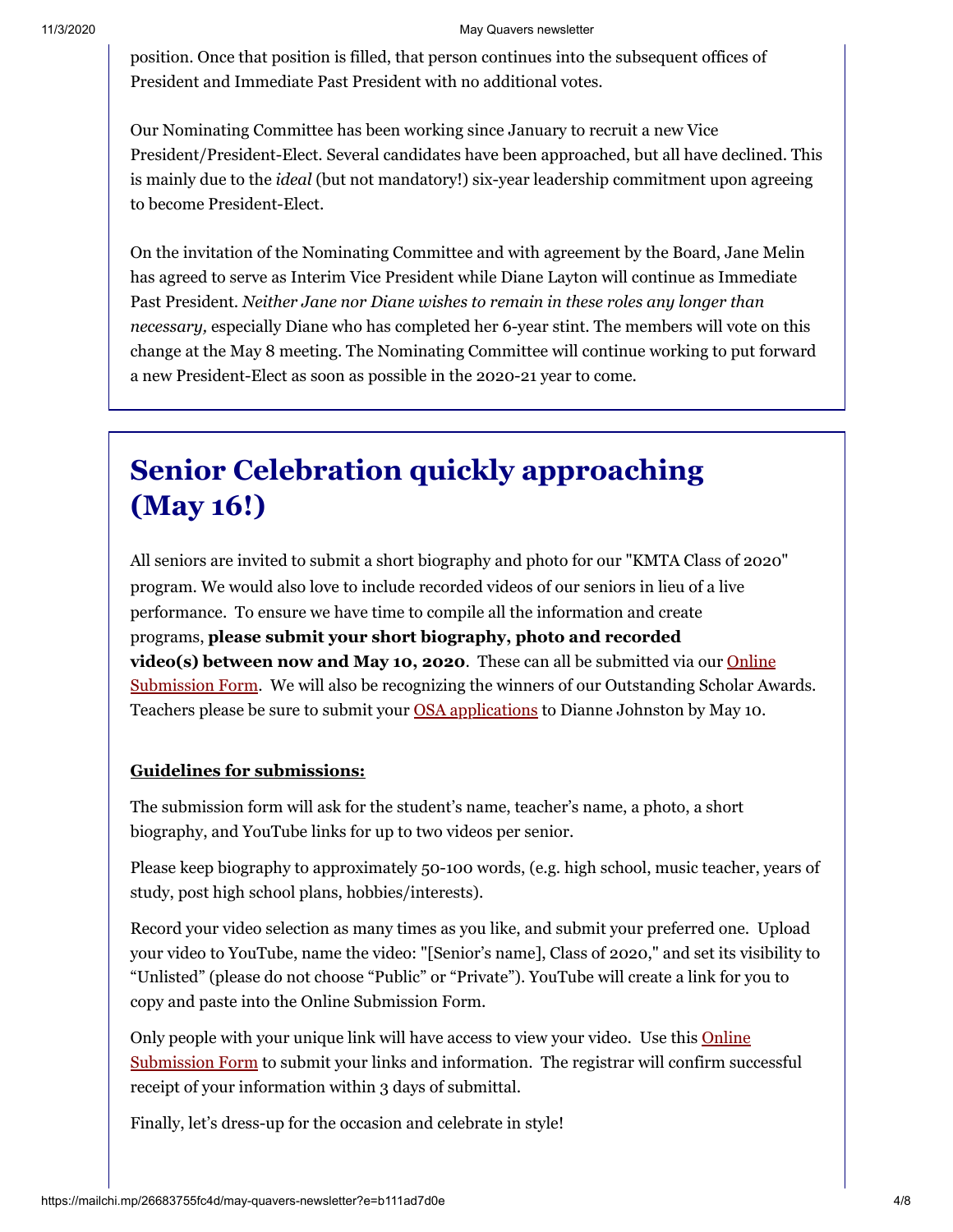position. Once that position is filled, that person continues into the subsequent offices of President and Immediate Past President with no additional votes.

Our Nominating Committee has been working since January to recruit a new Vice President/President-Elect. Several candidates have been approached, but all have declined. This is mainly due to the *ideal* (but not mandatory!) six-year leadership commitment upon agreeing to become President-Elect.

On the invitation of the Nominating Committee and with agreement by the Board, Jane Melin has agreed to serve as Interim Vice President while Diane Layton will continue as Immediate Past President. *Neither Jane nor Diane wishes to remain in these roles any longer than necessary,* especially Diane who has completed her 6-year stint. The members will vote on this change at the May 8 meeting. The Nominating Committee will continue working to put forward a new President-Elect as soon as possible in the 2020-21 year to come.

## **Senior Celebration quickly approaching (May 16!)**

All seniors are invited to submit a short biography and photo for our "KMTA Class of 2020" program. We would also love to include recorded videos of our seniors in lieu of a live performance. To ensure we have time to compile all the information and create programs, **please submit your short biography, photo and recorded video(s)** between now and May 10, 2020. These can all be submitted via our **Online** [Submission Form. We will also be recognizing the winners of our Outstanding Scholar Aw](https://docs.google.com/forms/d/e/1FAIpQLSfM8HZ5PtdTzD6CT6McvD45Zt1-Fbqw5v98CTS_N5Pj58Njqw/viewform?usp=sf_link)ards. Teachers please be sure to submit your **OSA applications** to Dianne Johnston by May 10.

#### **Guidelines for submissions:**

The submission form will ask for the student's name, teacher's name, a photo, a short biography, and YouTube links for up to two videos per senior.

Please keep biography to approximately 50-100 words, (e.g. high school, music teacher, years of study, post high school plans, hobbies/interests).

Record your video selection as many times as you like, and submit your preferred one. Upload your video to YouTube, name the video: "[Senior's name], Class of 2020," and set its visibility to "Unlisted" (please do not choose "Public" or "Private"). YouTube will create a link for you to copy and paste into the Online Submission Form.

Only people with your unique link will have access to view your video. Use this Online [Submission Form to submit your links and information. The registrar will confirm suc](https://kitsapmusicteachers.us14.list-manage.com/track/click?u=a9d885fc36d841987e3cbcd66&id=a47bfd0e22&e=d2bd5865e5)cessful receipt of your information within 3 days of submittal.

Finally, let's dress-up for the occasion and celebrate in style!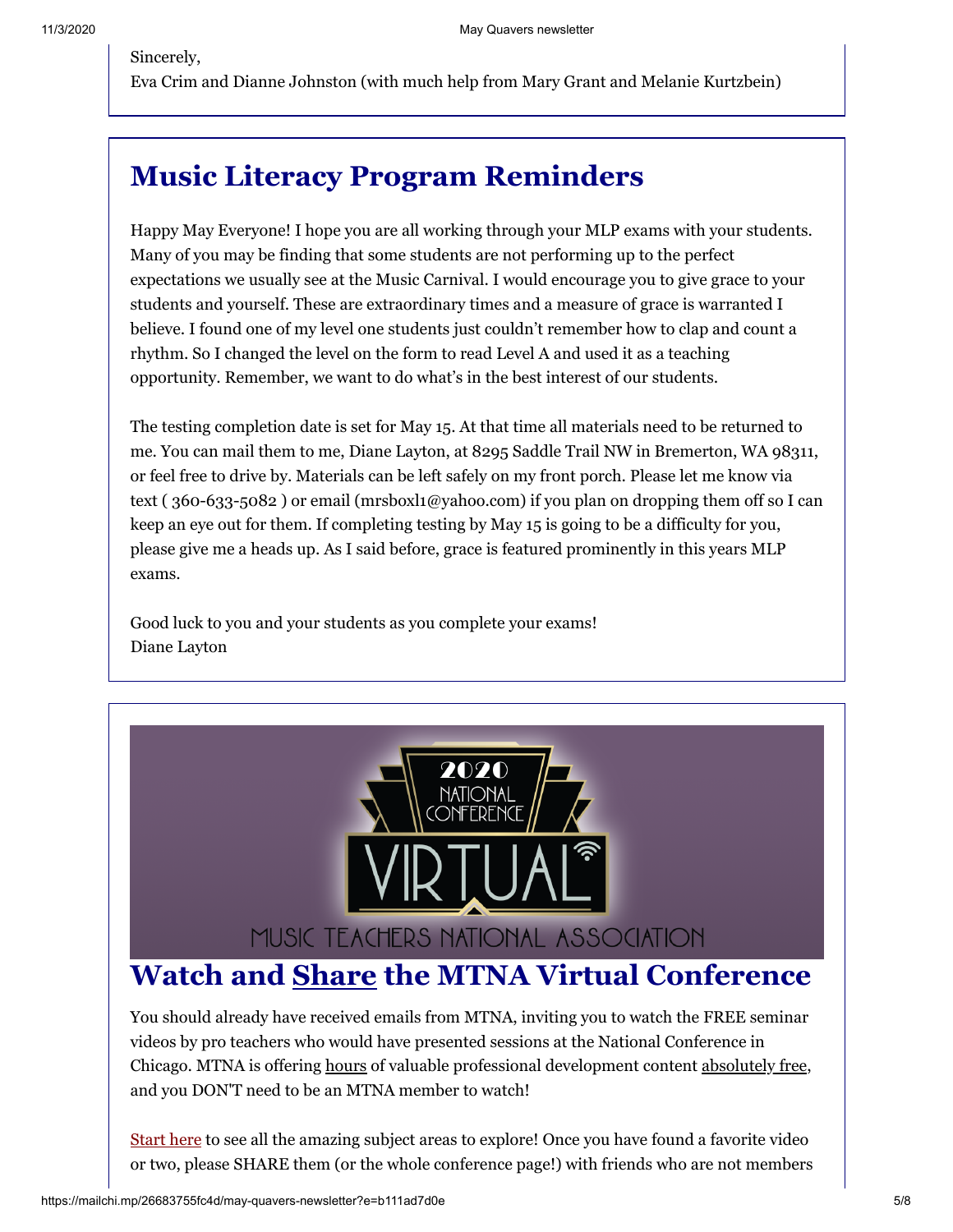Sincerely,

Eva Crim and Dianne Johnston (with much help from Mary Grant and Melanie Kurtzbein)

### **Music Literacy Program Reminders**

Happy May Everyone! I hope you are all working through your MLP exams with your students. Many of you may be finding that some students are not performing up to the perfect expectations we usually see at the Music Carnival. I would encourage you to give grace to your students and yourself. These are extraordinary times and a measure of grace is warranted I believe. I found one of my level one students just couldn't remember how to clap and count a rhythm. So I changed the level on the form to read Level A and used it as a teaching opportunity. Remember, we want to do what's in the best interest of our students.

The testing completion date is set for May 15. At that time all materials need to be returned to me. You can mail them to me, Diane Layton, at 8295 Saddle Trail NW in Bremerton, WA 98311, or feel free to drive by. Materials can be left safely on my front porch. Please let me know via text ( 360-633-5082 ) or email (mrsboxl1@yahoo.com) if you plan on dropping them off so I can keep an eye out for them. If completing testing by May 15 is going to be a difficulty for you, please give me a heads up. As I said before, grace is featured prominently in this years MLP exams.

Good luck to you and your students as you complete your exams! Diane Layton



You should already have received emails from MTNA, inviting you to watch the FREE seminar videos by pro teachers who would have presented sessions at the National Conference in Chicago. MTNA is offering hours of valuable professional development content absolutely free, and you DON'T need to be an MTNA member to watch!

[Start here](https://www.mtna.org/Virtual/Conference_Home/Virtual/Home.aspx?hkey=b6bde0ac-e634-409b-aca7-aa4f6f9f0480) to see all the amazing subject areas to explore! Once you have found a favorite video or two, please SHARE them (or the whole conference page!) with friends who are not members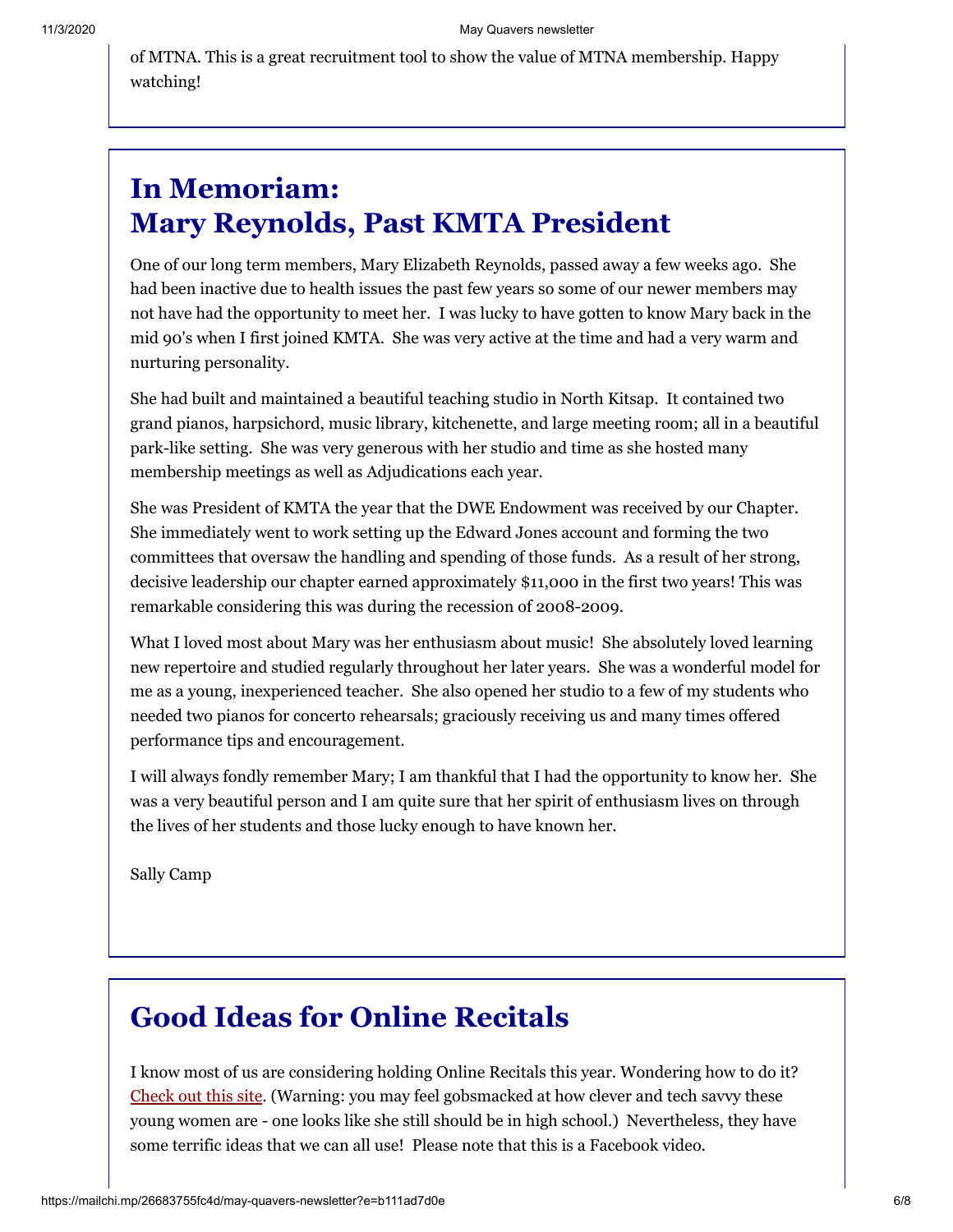of MTNA. This is a great recruitment tool to show the value of MTNA membership. Happy watching!

# **In Memoriam: Mary Reynolds, Past KMTA President**

One of our long term members, Mary Elizabeth Reynolds, passed away a few weeks ago. She had been inactive due to health issues the past few years so some of our newer members may not have had the opportunity to meet her. I was lucky to have gotten to know Mary back in the mid 90's when I first joined KMTA. She was very active at the time and had a very warm and nurturing personality.

She had built and maintained a beautiful teaching studio in North Kitsap. It contained two grand pianos, harpsichord, music library, kitchenette, and large meeting room; all in a beautiful park-like setting. She was very generous with her studio and time as she hosted many membership meetings as well as Adjudications each year.

She was President of KMTA the year that the DWE Endowment was received by our Chapter. She immediately went to work setting up the Edward Jones account and forming the two committees that oversaw the handling and spending of those funds. As a result of her strong, decisive leadership our chapter earned approximately \$11,000 in the first two years! This was remarkable considering this was during the recession of 2008-2009.

What I loved most about Mary was her enthusiasm about music! She absolutely loved learning new repertoire and studied regularly throughout her later years. She was a wonderful model for me as a young, inexperienced teacher. She also opened her studio to a few of my students who needed two pianos for concerto rehearsals; graciously receiving us and many times offered performance tips and encouragement.

I will always fondly remember Mary; I am thankful that I had the opportunity to know her. She was a very beautiful person and I am quite sure that her spirit of enthusiasm lives on through the lives of her students and those lucky enough to have known her.

Sally Camp

# **Good Ideas for Online Recitals**

I know most of us are considering holding Online Recitals this year. Wondering how to do it? [Check out this site](https://www.facebook.com/saracampbellbizcoach/videos/635254017205221/?v=635254017205221). (Warning: you may feel gobsmacked at how clever and tech savvy these young women are - one looks like she still should be in high school.) Nevertheless, they have some terrific ideas that we can all use! Please note that this is a Facebook video.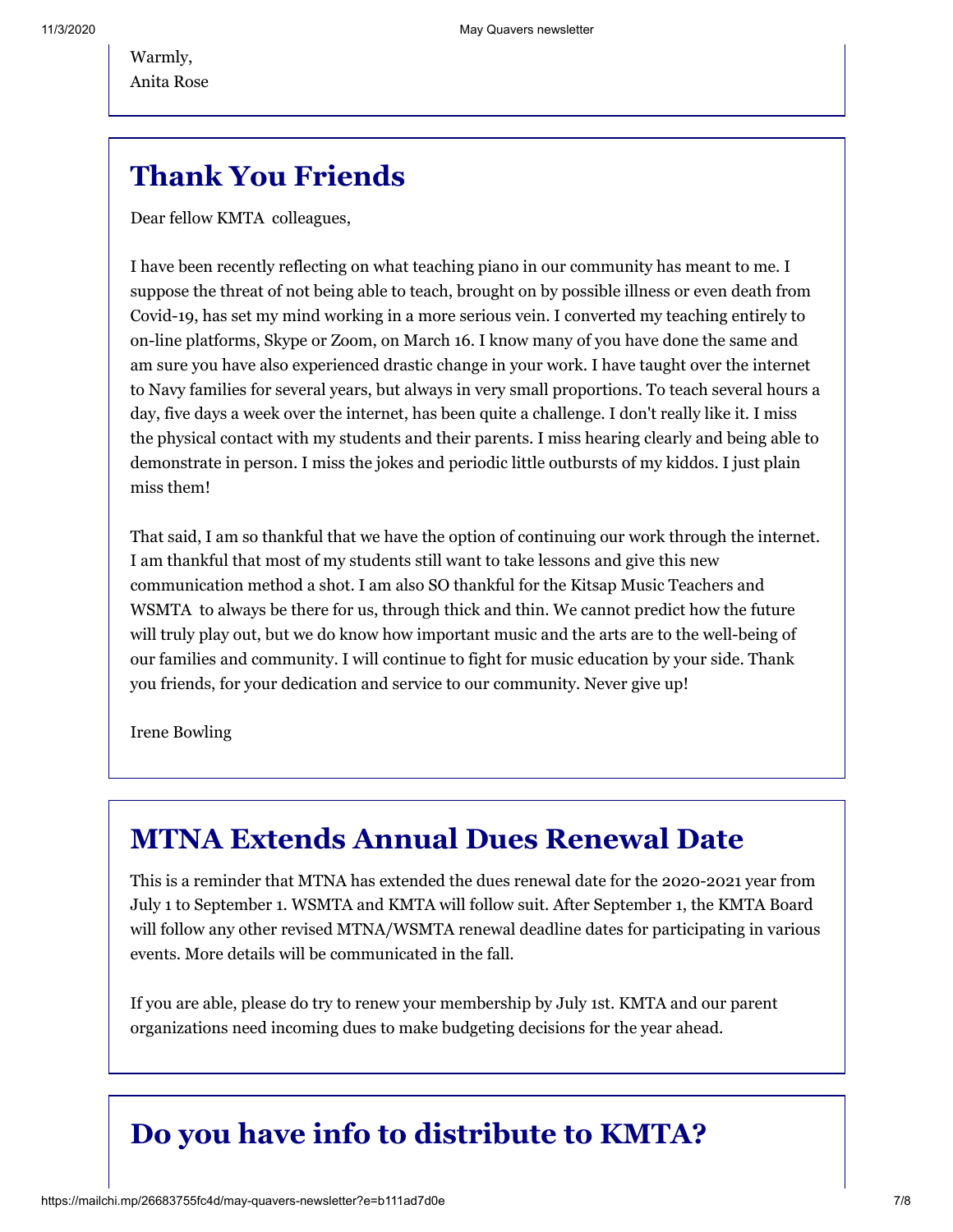### Warmly, Anita Rose

### **Thank You Friends**

Dear fellow KMTA colleagues,

I have been recently reflecting on what teaching piano in our community has meant to me. I suppose the threat of not being able to teach, brought on by possible illness or even death from Covid-19, has set my mind working in a more serious vein. I converted my teaching entirely to on-line platforms, Skype or Zoom, on March 16. I know many of you have done the same and am sure you have also experienced drastic change in your work. I have taught over the internet to Navy families for several years, but always in very small proportions. To teach several hours a day, five days a week over the internet, has been quite a challenge. I don't really like it. I miss the physical contact with my students and their parents. I miss hearing clearly and being able to demonstrate in person. I miss the jokes and periodic little outbursts of my kiddos. I just plain miss them!

That said, I am so thankful that we have the option of continuing our work through the internet. I am thankful that most of my students still want to take lessons and give this new communication method a shot. I am also SO thankful for the Kitsap Music Teachers and WSMTA to always be there for us, through thick and thin. We cannot predict how the future will truly play out, but we do know how important music and the arts are to the well-being of our families and community. I will continue to fight for music education by your side. Thank you friends, for your dedication and service to our community. Never give up!

Irene Bowling

### **MTNA Extends Annual Dues Renewal Date**

This is a reminder that MTNA has extended the dues renewal date for the 2020-2021 year from July 1 to September 1. WSMTA and KMTA will follow suit. After September 1, the KMTA Board will follow any other revised MTNA/WSMTA renewal deadline dates for participating in various events. More details will be communicated in the fall.

If you are able, please do try to renew your membership by July 1st. KMTA and our parent organizations need incoming dues to make budgeting decisions for the year ahead.

### **Do you have info to distribute to KMTA?**